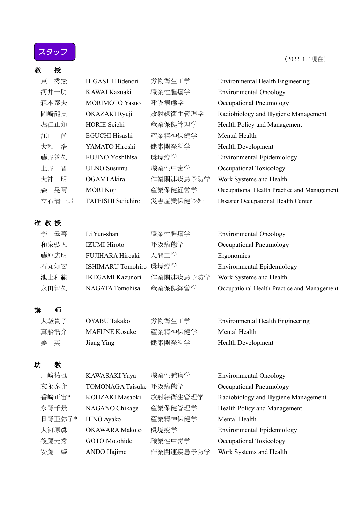スタッフ

| 教 | 授       |                           |            |                                             |
|---|---------|---------------------------|------------|---------------------------------------------|
| 東 | 秀憲      | HIGASHI Hidenori          | 労働衛生工学     | <b>Environmental Health Engineering</b>     |
|   | 河井一明    | KAWAI Kazuaki             | 職業性腫瘍学     | <b>Environmental Oncology</b>               |
|   | 森本泰夫    | <b>MORIMOTO Yasuo</b>     | 呼吸病態学      | Occupational Pneumology                     |
|   | 岡﨑龍史    | OKAZAKI Ryuji             | 放射線衛生管理学   | Radiobiology and Hygiene Management         |
|   | 堀江正知    | <b>HORIE</b> Seichi       | 産業保健管理学    | Health Policy and Management                |
|   | 尚<br>江口 | <b>EGUCHI Hisashi</b>     | 産業精神保健学    | Mental Health                               |
|   | 大和<br>浩 | YAMATO Hiroshi            | 健康開発科学     | Health Development                          |
|   | 藤野善久    | FUJINO Yoshihisa          | 環境疫学       | <b>Environmental Epidemiology</b>           |
|   | 晋<br>上野 | <b>UENO</b> Susumu        | 職業性中毒学     | Occupational Toxicology                     |
|   | 大神<br>明 | OGAMI Akira               | 作業関連疾患予防学  | Work Systems and Health                     |
| 森 | 晃爾      | <b>MORI Koji</b>          | 産業保健経営学    | Occupational Health Practice and Management |
|   | 立石清一郎   | <b>TATEISHI</b> Seiichiro | 災害産業保健センター | Disaster Occupational Health Center         |
|   |         |                           |            |                                             |
|   | 准教授     |                           |            |                                             |
| 李 | 云善      | Li Yun-shan               | 職業性腫瘍学     | <b>Environmental Oncology</b>               |
|   | 和泉弘人    | <b>IZUMI</b> Hiroto       | 呼吸病態学      | Occupational Pneumology                     |
|   | 藤原広明    | FUJIHARA Hiroaki          | 人間工学       | Ergonomics                                  |
|   | 石丸知宏    | ISHIMARU Tomohiro 環境疫学    |            | <b>Environmental Epidemiology</b>           |
|   | 池上和範    | <b>IKEGAMI Kazunori</b>   | 作業関連疾患予防学  | Work Systems and Health                     |
|   | 永田智久    | NAGATA Tomohisa           | 産業保健経営学    | Occupational Health Practice and Management |
|   |         |                           |            |                                             |
| 講 | 師       |                           |            |                                             |
|   | 大藪貴子    | OYABU Takako              | 労働衛生工学     | <b>Environmental Health Engineering</b>     |
|   | 真船浩介    | <b>MAFUNE Kosuke</b>      | 産業精神保健学    | Mental Health                               |
| 姜 | 英       | Jiang Ying                | 健康開発科学     | <b>Health Development</b>                   |
|   |         |                           |            |                                             |
| 助 | 教       |                           |            |                                             |
|   | 川﨑祐也    | KAWASAKI Yuya             | 職業性腫瘍学     | <b>Environmental Oncology</b>               |
|   | 友永泰介    | TOMONAGA Taisuke 呼吸病態学    |            | Occupational Pneumology                     |
|   | 香﨑正宙*   | KOHZAKI Masaoki           | 放射線衛生管理学   | Radiobiology and Hygiene Management         |
|   | 永野千景    | NAGANO Chikage            | 産業保健管理学    | Health Policy and Management                |
|   | 日野亜弥子*  | HINO Ayako                | 産業精神保健学    | Mental Health                               |
|   | 大河原真    | <b>OKAWARA</b> Makoto     | 環境疫学       | <b>Environmental Epidemiology</b>           |
|   | 後藤元秀    | <b>GOTO</b> Motohide      | 職業性中毒学     | Occupational Toxicology                     |
|   | 安藤<br>肇 | ANDO Hajime               | 作業関連疾患予防学  | Work Systems and Health                     |